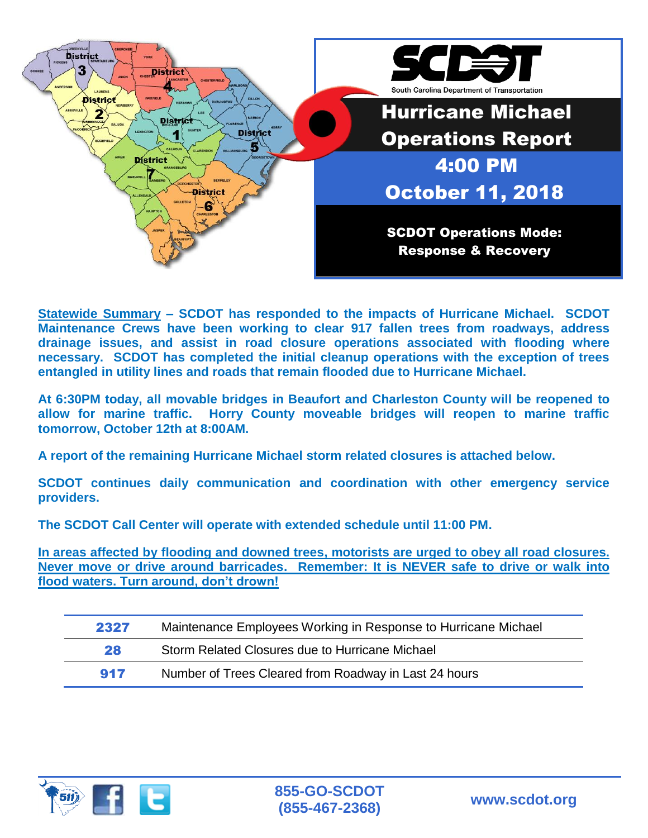

**Statewide Summary – SCDOT has responded to the impacts of Hurricane Michael. SCDOT Maintenance Crews have been working to clear 917 fallen trees from roadways, address drainage issues, and assist in road closure operations associated with flooding where necessary. SCDOT has completed the initial cleanup operations with the exception of trees entangled in utility lines and roads that remain flooded due to Hurricane Michael.**

**At 6:30PM today, all movable bridges in Beaufort and Charleston County will be reopened to allow for marine traffic. Horry County moveable bridges will reopen to marine traffic tomorrow, October 12th at 8:00AM.**

**A report of the remaining Hurricane Michael storm related closures is attached below.**

**SCDOT continues daily communication and coordination with other emergency service providers.**

**The SCDOT Call Center will operate with extended schedule until 11:00 PM.** 

**In areas affected by flooding and downed trees, motorists are urged to obey all road closures. Never move or drive around barricades. Remember: It is NEVER safe to drive or walk into flood waters. Turn around, don't drown!**

| 2327 | Maintenance Employees Working in Response to Hurricane Michael |
|------|----------------------------------------------------------------|
| 28   | Storm Related Closures due to Hurricane Michael                |
| 917  | Number of Trees Cleared from Roadway in Last 24 hours          |

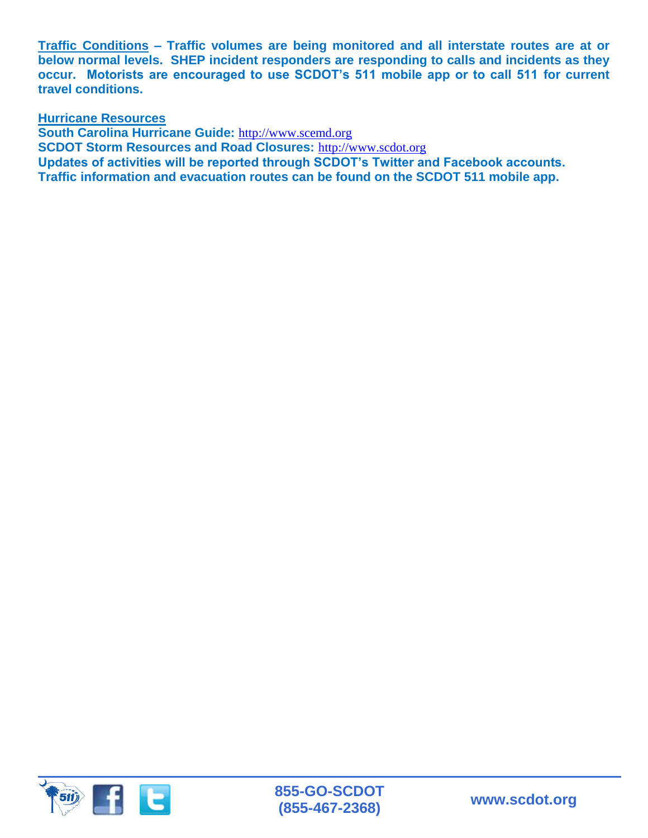**Traffic Conditions – Traffic volumes are being monitored and all interstate routes are at or below normal levels. SHEP incident responders are responding to calls and incidents as they occur. Motorists are encouraged to use SCDOT's 511 mobile app or to call 511 for current travel conditions.**

**Hurricane Resources** 

**South Carolina Hurricane Guide:** http://www.scemd.org **SCDOT Storm Resources and Road Closures:** http://www.scdot.org **Updates of activities will be reported through SCDOT's Twitter and Facebook accounts. Traffic information and evacuation routes can be found on the SCDOT 511 mobile app.**

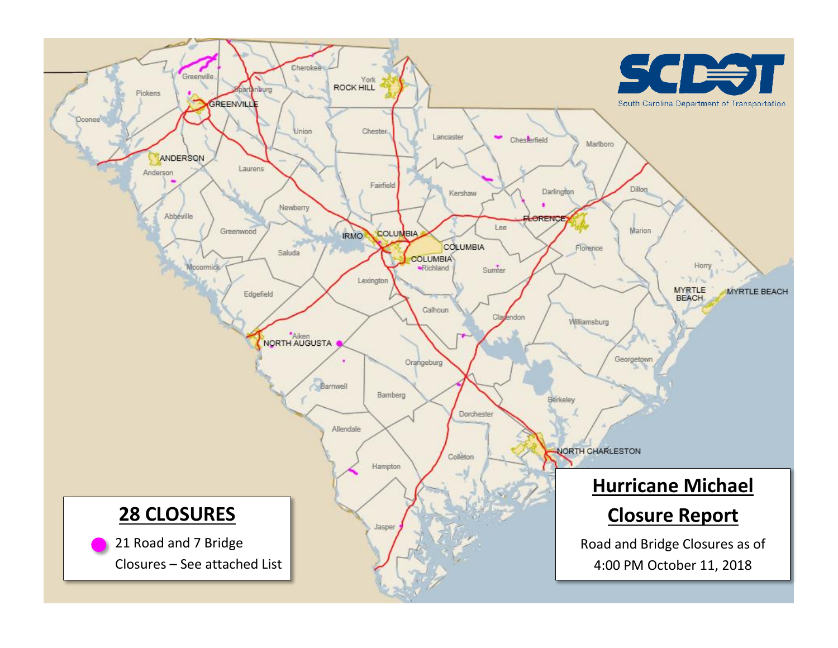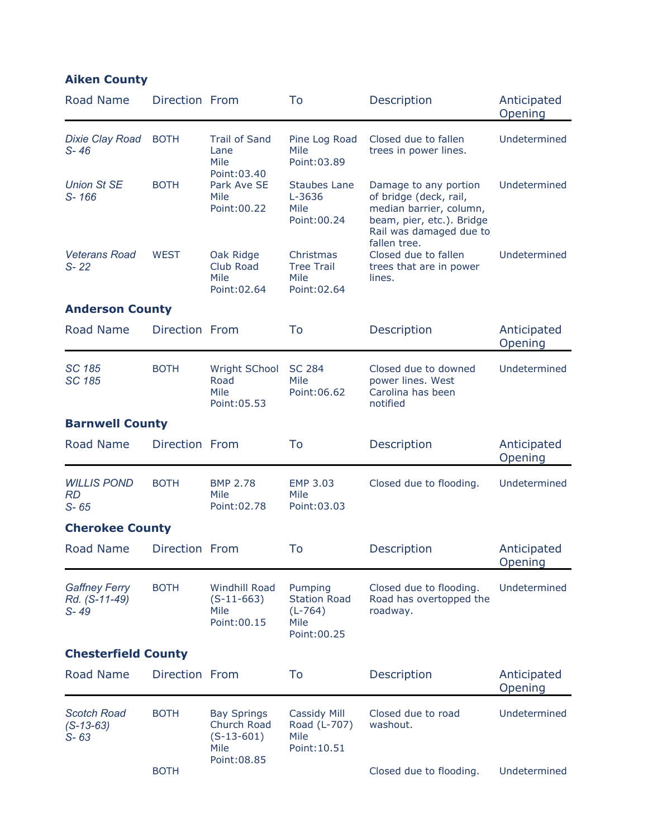| <b>Aiken County</b>                               |                |                                                              |                                                                     |                                                                                                                                                                                                                 |                        |  |
|---------------------------------------------------|----------------|--------------------------------------------------------------|---------------------------------------------------------------------|-----------------------------------------------------------------------------------------------------------------------------------------------------------------------------------------------------------------|------------------------|--|
| Road Name                                         | Direction From |                                                              | To                                                                  | Description                                                                                                                                                                                                     | Anticipated<br>Opening |  |
| <b>Dixie Clay Road</b><br>$S - 46$                | <b>BOTH</b>    | <b>Trail of Sand</b><br>Lane<br>Mile                         | Pine Log Road<br>Mile<br>Point: 03.89                               | Closed due to fallen<br>trees in power lines.                                                                                                                                                                   | Undetermined           |  |
| <b>Union St SE</b><br>$S - 166$                   | <b>BOTH</b>    | Point: 03.40<br>Park Ave SE<br>Mile<br>Point: 00.22          | Staubes Lane<br>L-3636<br>Mile<br>Point: 00.24                      | Damage to any portion<br>of bridge (deck, rail,<br>median barrier, column,<br>beam, pier, etc.). Bridge<br>Rail was damaged due to<br>fallen tree.<br>Closed due to fallen<br>trees that are in power<br>lines. | Undetermined           |  |
| <b>Veterans Road</b><br>$S - 22$                  | <b>WEST</b>    | Oak Ridge<br>Club Road<br><b>Mile</b><br>Point: 02.64        | Christmas<br><b>Tree Trail</b><br>Mile<br>Point: 02.64              |                                                                                                                                                                                                                 | Undetermined           |  |
| <b>Anderson County</b>                            |                |                                                              |                                                                     |                                                                                                                                                                                                                 |                        |  |
| <b>Road Name</b>                                  | Direction From |                                                              | To                                                                  | Description                                                                                                                                                                                                     | Anticipated<br>Opening |  |
| <b>SC 185</b><br><b>SC 185</b>                    | <b>BOTH</b>    | <b>Wright SChool</b><br>Road<br>Mile<br>Point: 05.53         | <b>SC 284</b><br>Mile<br>Point: 06.62                               | Closed due to downed<br>power lines. West<br>Carolina has been<br>notified                                                                                                                                      | Undetermined           |  |
| <b>Barnwell County</b>                            |                |                                                              |                                                                     |                                                                                                                                                                                                                 |                        |  |
| Road Name                                         | Direction From |                                                              | To                                                                  | Description                                                                                                                                                                                                     | Anticipated<br>Opening |  |
| <b>WILLIS POND</b><br><b>RD</b><br>$S - 65$       | <b>BOTH</b>    | <b>BMP 2.78</b><br>Mile<br>Point: 02.78                      | EMP 3.03<br>Mile<br>Point: 03.03                                    | Closed due to flooding.                                                                                                                                                                                         | Undetermined           |  |
| <b>Cherokee County</b>                            |                |                                                              |                                                                     |                                                                                                                                                                                                                 |                        |  |
| <b>Road Name</b>                                  | Direction From |                                                              | To                                                                  | Description                                                                                                                                                                                                     | Anticipated<br>Opening |  |
| <b>Gaffney Ferry</b><br>Rd. (S-11-49)<br>$S - 49$ | <b>BOTH</b>    | <b>Windhill Road</b><br>$(S-11-663)$<br>Mile<br>Point: 00.15 | Pumping<br><b>Station Road</b><br>$(L-764)$<br>Mile<br>Point: 00.25 | Closed due to flooding.<br>Road has overtopped the<br>roadway.                                                                                                                                                  | Undetermined           |  |
| <b>Chesterfield County</b>                        |                |                                                              |                                                                     |                                                                                                                                                                                                                 |                        |  |
| <b>Road Name</b>                                  | Direction From |                                                              | To                                                                  | Description                                                                                                                                                                                                     | Anticipated<br>Opening |  |
| <b>Scotch Road</b><br>$(S-13-63)$<br>$S - 63$     | <b>BOTH</b>    | <b>Bay Springs</b><br>Church Road<br>$(S-13-601)$<br>Mile    | Cassidy Mill<br>Road (L-707)<br>Mile<br>Point: 10.51                | Closed due to road<br>washout.                                                                                                                                                                                  | Undetermined           |  |
|                                                   | <b>BOTH</b>    | Point: 08.85                                                 |                                                                     | Closed due to flooding.                                                                                                                                                                                         | Undetermined           |  |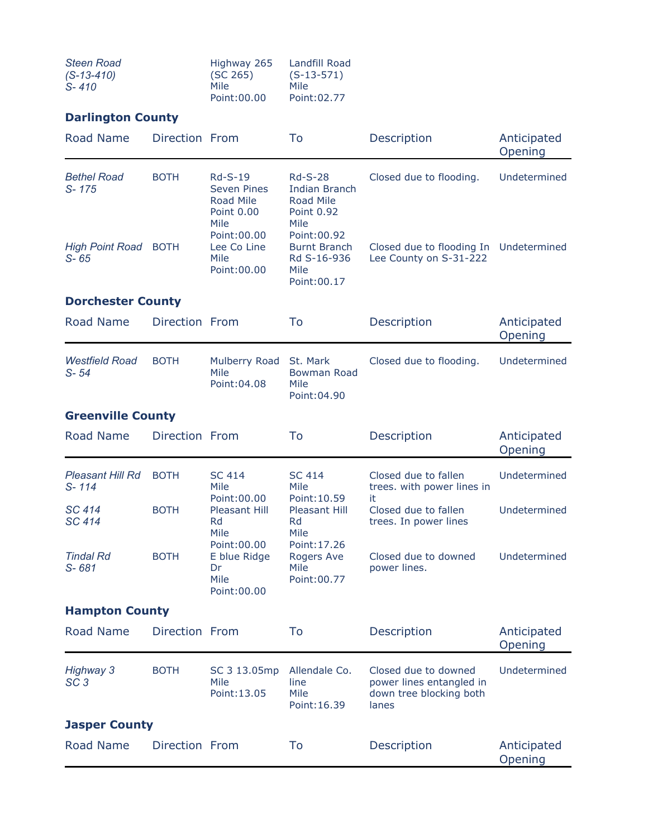| <b>Steen Road</b> | Highway 265  | Landfill Road |
|-------------------|--------------|---------------|
| $(S-13-410)$      | (SC 265)     | $(S-13-571)$  |
| $S - 410$         | Mile         | Mile          |
|                   | Point: 00.00 | Point: 02.77  |

## **Darlington County**

| Road Name                            | Direction From        |                                                                 | To                                                                                 | Description                                                                          | Anticipated<br>Opening |  |  |
|--------------------------------------|-----------------------|-----------------------------------------------------------------|------------------------------------------------------------------------------------|--------------------------------------------------------------------------------------|------------------------|--|--|
| <b>Bethel Road</b><br>S-175          | <b>BOTH</b>           | <b>Rd-S-19</b><br><b>Seven Pines</b><br>Road Mile<br>Point 0.00 | <b>Rd-S-28</b><br><b>Indian Branch</b><br>Road Mile<br>Point 0.92                  | Closed due to flooding.                                                              | Undetermined           |  |  |
| <b>High Point Road</b><br>$S - 65$   | <b>BOTH</b>           | Mile<br>Point: 00.00<br>Lee Co Line<br>Mile<br>Point: 00.00     | Mile<br>Point: 00.92<br><b>Burnt Branch</b><br>Rd S-16-936<br>Mile<br>Point: 00.17 | Closed due to flooding In Undetermined<br>Lee County on S-31-222                     |                        |  |  |
| <b>Dorchester County</b>             |                       |                                                                 |                                                                                    |                                                                                      |                        |  |  |
| <b>Road Name</b>                     | Direction From        |                                                                 | To                                                                                 | Description                                                                          | Anticipated<br>Opening |  |  |
| <b>Westfield Road</b><br>$S - 54$    | <b>BOTH</b>           | Mulberry Road<br>Mile<br>Point: 04.08                           | St. Mark<br><b>Bowman Road</b><br>Mile<br>Point: 04.90                             | Closed due to flooding.                                                              | Undetermined           |  |  |
| <b>Greenville County</b>             |                       |                                                                 |                                                                                    |                                                                                      |                        |  |  |
| <b>Road Name</b>                     | Direction From        |                                                                 | To                                                                                 | Description                                                                          | Anticipated<br>Opening |  |  |
| <b>Pleasant Hill Rd</b><br>$S - 114$ | <b>BOTH</b>           | <b>SC 414</b><br>Mile<br>Point: 00.00                           | <b>SC 414</b><br>Mile<br>Point: 10.59                                              | Closed due to fallen<br>trees. with power lines in<br>it                             | Undetermined           |  |  |
| SC 414<br>SC 414                     | <b>BOTH</b>           | Pleasant Hill<br>Rd<br>Mile                                     | <b>Pleasant Hill</b><br>Rd<br>Mile                                                 | Closed due to fallen<br>trees. In power lines                                        | Undetermined           |  |  |
| <b>Tindal Rd</b><br>S-681            | <b>BOTH</b>           | Point: 00.00<br>E blue Ridge<br>Dr<br>Mile<br>Point: 00.00      | Point: 17.26<br>Rogers Ave<br>Mile<br>Point: 00.77                                 | Closed due to downed<br>power lines.                                                 | Undetermined           |  |  |
|                                      | <b>Hampton County</b> |                                                                 |                                                                                    |                                                                                      |                        |  |  |
| <b>Road Name</b>                     | Direction From        |                                                                 | To                                                                                 | Description                                                                          | Anticipated<br>Opening |  |  |
| <b>Highway 3</b><br>SC <sub>3</sub>  | <b>BOTH</b>           | SC 3 13.05mp<br>Mile<br>Point: 13.05                            | Allendale Co.<br>line<br>Mile<br>Point: 16.39                                      | Closed due to downed<br>power lines entangled in<br>down tree blocking both<br>lanes | Undetermined           |  |  |
| <b>Jasper County</b>                 |                       |                                                                 |                                                                                    |                                                                                      |                        |  |  |
| <b>Road Name</b>                     | Direction From        |                                                                 | To                                                                                 | Description                                                                          | Anticipated<br>Opening |  |  |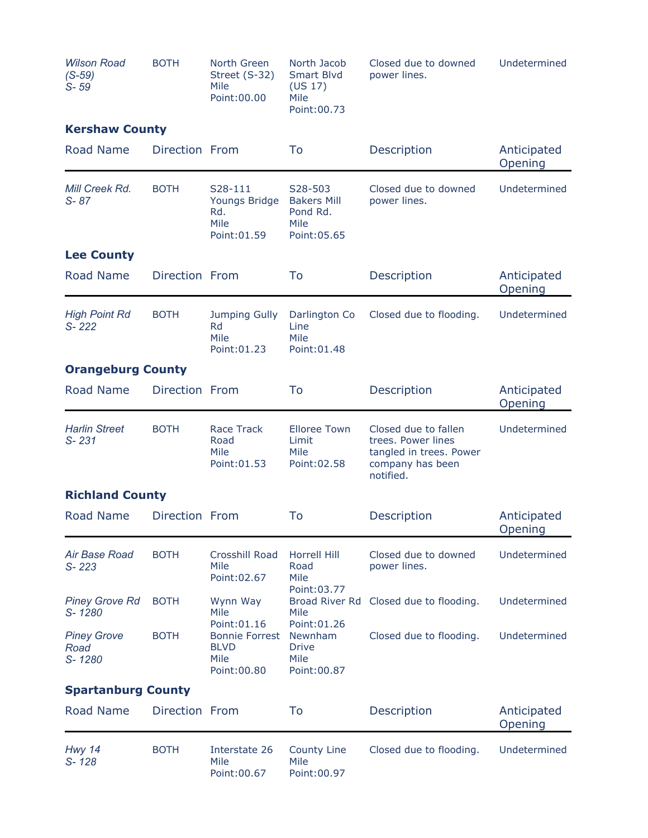| <b>Wilson Road</b><br>$(S-59)$<br>$S - 59$ | <b>BOTH</b>    | North Green<br>Street (S-32)<br>Mile<br>Point: 00.00                         | North Jacob<br><b>Smart Blvd</b><br>(US 17)<br>Mile<br>Point: 00.73            | Closed due to downed<br>power lines.                                                                   | Undetermined           |
|--------------------------------------------|----------------|------------------------------------------------------------------------------|--------------------------------------------------------------------------------|--------------------------------------------------------------------------------------------------------|------------------------|
| <b>Kershaw County</b>                      |                |                                                                              |                                                                                |                                                                                                        |                        |
| <b>Road Name</b>                           | Direction From |                                                                              | To                                                                             | Description                                                                                            | Anticipated<br>Opening |
| Mill Creek Rd.<br>$S - 87$                 | <b>BOTH</b>    | S <sub>28</sub> -111<br>Youngs Bridge<br>Rd.<br>Mile<br>Point: 01.59         | S <sub>28</sub> -503<br><b>Bakers Mill</b><br>Pond Rd.<br>Mile<br>Point: 05.65 | Closed due to downed<br>power lines.                                                                   | Undetermined           |
| <b>Lee County</b>                          |                |                                                                              |                                                                                |                                                                                                        |                        |
| <b>Road Name</b>                           | Direction From |                                                                              | To                                                                             | Description                                                                                            | Anticipated<br>Opening |
| <b>High Point Rd</b><br>S-222              | <b>BOTH</b>    | <b>Jumping Gully</b><br>Rd<br>Mile<br>Point: 01.23                           | Darlington Co<br>Line<br>Mile<br>Point: 01.48                                  | Closed due to flooding.                                                                                | Undetermined           |
| <b>Orangeburg County</b>                   |                |                                                                              |                                                                                |                                                                                                        |                        |
| <b>Road Name</b>                           | Direction From |                                                                              | To                                                                             | Description                                                                                            | Anticipated<br>Opening |
| <b>Harlin Street</b><br>$S - 231$          | <b>BOTH</b>    | <b>Race Track</b><br>Road<br>Mile<br>Point: 01.53                            | <b>Elloree Town</b><br>Limit<br>Mile<br>Point: 02.58                           | Closed due to fallen<br>trees. Power lines<br>tangled in trees. Power<br>company has been<br>notified. | Undetermined           |
| <b>Richland County</b>                     |                |                                                                              |                                                                                |                                                                                                        |                        |
| Road Name                                  | Direction From |                                                                              | To                                                                             | Description                                                                                            | Anticipated<br>Opening |
| <b>Air Base Road</b><br>S-223              | <b>BOTH</b>    | Crosshill Road<br>Mile<br>Point: 02.67                                       | Horrell Hill<br>Road<br>Mile                                                   | Closed due to downed<br>power lines.                                                                   | Undetermined           |
| <b>Piney Grove Rd</b><br>S-1280            | <b>BOTH</b>    | Wynn Way<br>Mile                                                             | Point: 03.77<br><b>Broad River Rd</b><br>Mile                                  | Closed due to flooding.                                                                                | Undetermined           |
| <b>Piney Grove</b><br>Road<br>S-1280       | <b>BOTH</b>    | Point: 01.16<br><b>Bonnie Forrest</b><br><b>BLVD</b><br>Mile<br>Point: 00.80 | Point: 01.26<br>Newnham<br><b>Drive</b><br>Mile<br>Point: 00.87                | Closed due to flooding.                                                                                | Undetermined           |
| <b>Spartanburg County</b>                  |                |                                                                              |                                                                                |                                                                                                        |                        |
| <b>Road Name</b>                           | Direction From |                                                                              | To                                                                             | Description                                                                                            | Anticipated<br>Opening |
| <b>Hwy 14</b><br>S-128                     | <b>BOTH</b>    | Interstate 26<br>Mile<br>Point: 00.67                                        | County Line<br>Mile<br>Point: 00.97                                            | Closed due to flooding.                                                                                | Undetermined           |